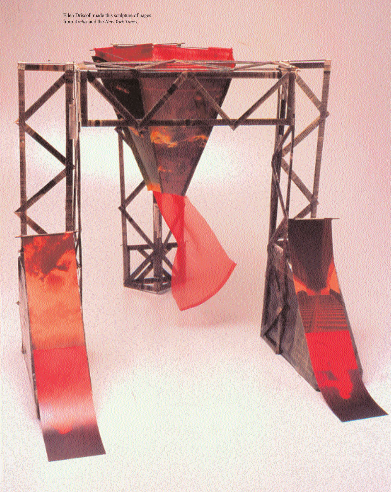